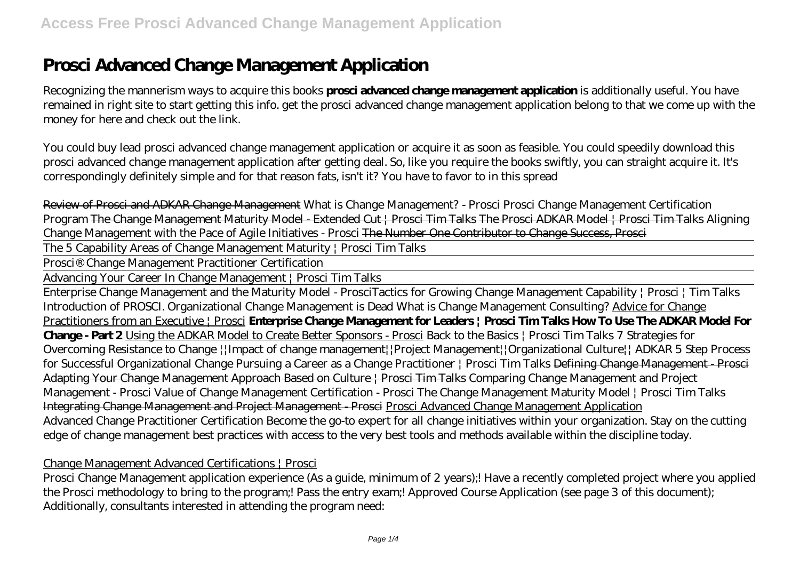# **Prosci Advanced Change Management Application**

Recognizing the mannerism ways to acquire this books **prosci advanced change management application** is additionally useful. You have remained in right site to start getting this info. get the prosci advanced change management application belong to that we come up with the money for here and check out the link.

You could buy lead prosci advanced change management application or acquire it as soon as feasible. You could speedily download this prosci advanced change management application after getting deal. So, like you require the books swiftly, you can straight acquire it. It's correspondingly definitely simple and for that reason fats, isn't it? You have to favor to in this spread

Review of Prosci and ADKAR Change Management What is Change Management? - Prosci Prosci Change Management Certification Program The Change Management Maturity Model - Extended Cut | Prosci Tim Talks The Prosci ADKAR Model | Prosci Tim Talks *Aligning Change Management with the Pace of Agile Initiatives - Prosci* The Number One Contributor to Change Success, Prosci

The 5 Capability Areas of Change Management Maturity | Prosci Tim Talks

Prosci® Change Management Practitioner Certification

Advancing Your Career In Change Management | Prosci Tim Talks

Enterprise Change Management and the Maturity Model - Prosci*Tactics for Growing Change Management Capability | Prosci | Tim Talks Introduction of PROSCI.* Organizational Change Management is Dead What is Change Management Consulting? Advice for Change Practitioners from an Executive | Prosci **Enterprise Change Management for Leaders | Prosci Tim Talks How To Use The ADKAR Model For Change - Part 2** Using the ADKAR Model to Create Better Sponsors - Prosci *Back to the Basics | Prosci Tim Talks* 7 Strategies for Overcoming Resistance to Change ||Impact of change management||Project Management||Organizational Culture|| ADKAR 5 Step Process for Successful Organizational Change Pursuing a Career as a Change Practitioner | Prosci Tim Talks <del>Defining Change Management - Prosci</del> Adapting Your Change Management Approach Based on Culture | Prosci Tim Talks Comparing Change Management and Project Management - Prosci Value of Change Management Certification - Prosci *The Change Management Maturity Model | Prosci Tim Talks* Integrating Change Management and Project Management - Prosci Prosci Advanced Change Management Application Advanced Change Practitioner Certification Become the go-to expert for all change initiatives within your organization. Stay on the cutting edge of change management best practices with access to the very best tools and methods available within the discipline today.

#### Change Management Advanced Certifications | Prosci

Prosci Change Management application experience (As a guide, minimum of 2 years);! Have a recently completed project where you applied the Prosci methodology to bring to the program;! Pass the entry exam;! Approved Course Application (see page 3 of this document); Additionally, consultants interested in attending the program need: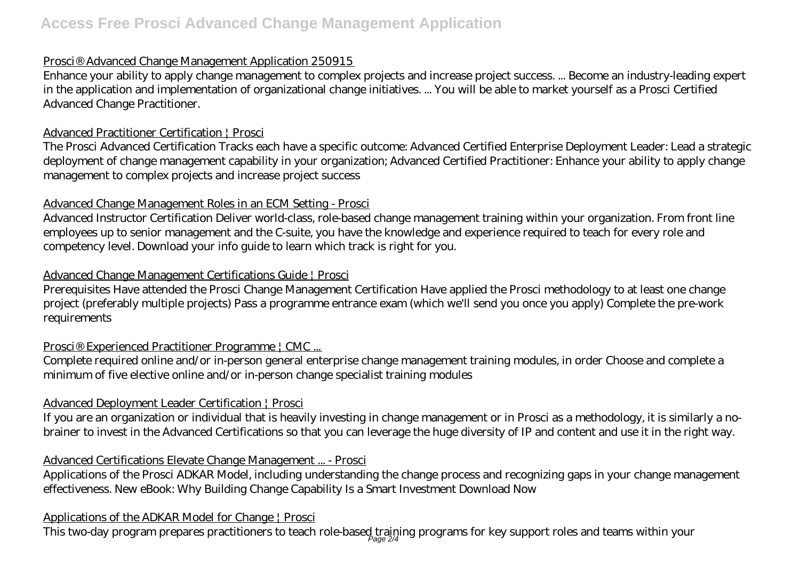# **Access Free Prosci Advanced Change Management Application**

## Prosci® Advanced Change Management Application 250915

Enhance your ability to apply change management to complex projects and increase project success. ... Become an industry-leading expert in the application and implementation of organizational change initiatives. ... You will be able to market yourself as a Prosci Certified Advanced Change Practitioner.

#### Advanced Practitioner Certification | Prosci

The Prosci Advanced Certification Tracks each have a specific outcome: Advanced Certified Enterprise Deployment Leader: Lead a strategic deployment of change management capability in your organization; Advanced Certified Practitioner: Enhance your ability to apply change management to complex projects and increase project success

# Advanced Change Management Roles in an ECM Setting - Prosci

Advanced Instructor Certification Deliver world-class, role-based change management training within your organization. From front line employees up to senior management and the C-suite, you have the knowledge and experience required to teach for every role and competency level. Download your info guide to learn which track is right for you.

## Advanced Change Management Certifications Guide | Prosci

Prerequisites Have attended the Prosci Change Management Certification Have applied the Prosci methodology to at least one change project (preferably multiple projects) Pass a programme entrance exam (which we'll send you once you apply) Complete the pre-work requirements

# Prosci® Experienced Practitioner Programme | CMC ...

Complete required online and/or in-person general enterprise change management training modules, in order Choose and complete a minimum of five elective online and/or in-person change specialist training modules

# Advanced Deployment Leader Certification | Prosci

If you are an organization or individual that is heavily investing in change management or in Prosci as a methodology, it is similarly a nobrainer to invest in the Advanced Certifications so that you can leverage the huge diversity of IP and content and use it in the right way.

# Advanced Certifications Elevate Change Management ... - Prosci

Applications of the Prosci ADKAR Model, including understanding the change process and recognizing gaps in your change management effectiveness. New eBook: Why Building Change Capability Is a Smart Investment Download Now

# Applications of the ADKAR Model for Change | Prosci

This two-day program prepares practitioners to teach role-based training programs for key support roles and teams within your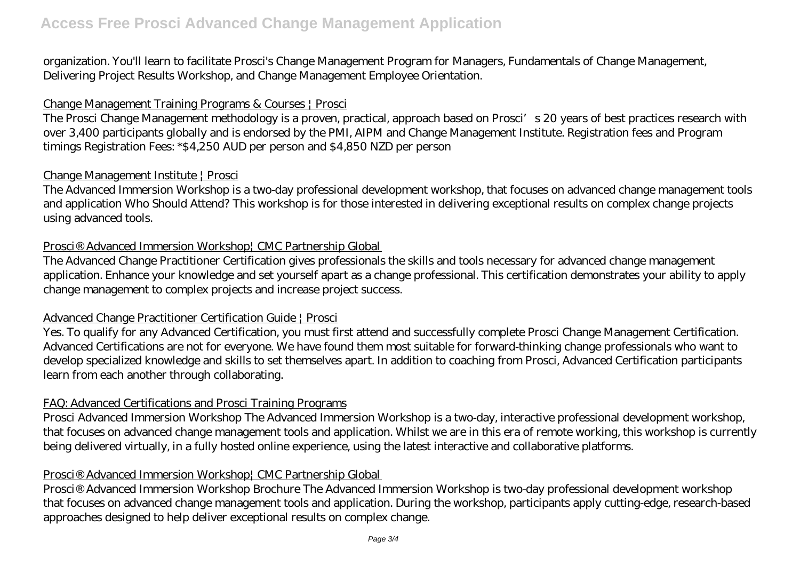organization. You'll learn to facilitate Prosci's Change Management Program for Managers, Fundamentals of Change Management, Delivering Project Results Workshop, and Change Management Employee Orientation.

# Change Management Training Programs & Courses | Prosci

The Prosci Change Management methodology is a proven, practical, approach based on Prosci's 20 years of best practices research with over 3,400 participants globally and is endorsed by the PMI, AIPM and Change Management Institute. Registration fees and Program timings Registration Fees: \*\$4,250 AUD per person and \$4,850 NZD per person

#### Change Management Institute | Prosci

The Advanced Immersion Workshop is a two-day professional development workshop, that focuses on advanced change management tools and application Who Should Attend? This workshop is for those interested in delivering exceptional results on complex change projects using advanced tools.

#### Prosci® Advanced Immersion Workshop| CMC Partnership Global

The Advanced Change Practitioner Certification gives professionals the skills and tools necessary for advanced change management application. Enhance your knowledge and set yourself apart as a change professional. This certification demonstrates your ability to apply change management to complex projects and increase project success.

#### Advanced Change Practitioner Certification Guide | Prosci

Yes. To qualify for any Advanced Certification, you must first attend and successfully complete Prosci Change Management Certification. Advanced Certifications are not for everyone. We have found them most suitable for forward-thinking change professionals who want to develop specialized knowledge and skills to set themselves apart. In addition to coaching from Prosci, Advanced Certification participants learn from each another through collaborating.

#### FAQ: Advanced Certifications and Prosci Training Programs

Prosci Advanced Immersion Workshop The Advanced Immersion Workshop is a two-day, interactive professional development workshop, that focuses on advanced change management tools and application. Whilst we are in this era of remote working, this workshop is currently being delivered virtually, in a fully hosted online experience, using the latest interactive and collaborative platforms.

# Prosci® Advanced Immersion Workshop¦ CMC Partnership Global

Prosci® Advanced Immersion Workshop Brochure The Advanced Immersion Workshop is two-day professional development workshop that focuses on advanced change management tools and application. During the workshop, participants apply cutting-edge, research-based approaches designed to help deliver exceptional results on complex change.